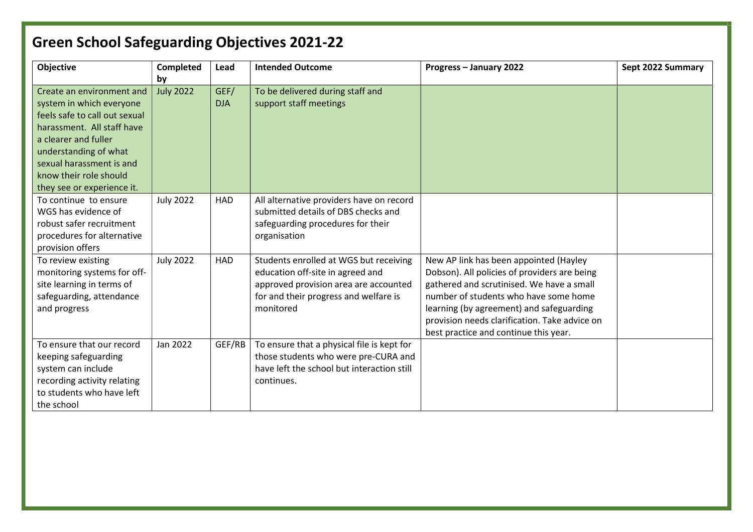| Objective                                                                                                                                                                                                                   | <b>Completed</b> | Lead               | <b>Intended Outcome</b>                                                                                                                                                   | Progress - January 2022                                                                                                                                                                                                                                                                                            | Sept 2022 Summary |
|-----------------------------------------------------------------------------------------------------------------------------------------------------------------------------------------------------------------------------|------------------|--------------------|---------------------------------------------------------------------------------------------------------------------------------------------------------------------------|--------------------------------------------------------------------------------------------------------------------------------------------------------------------------------------------------------------------------------------------------------------------------------------------------------------------|-------------------|
|                                                                                                                                                                                                                             | by               |                    |                                                                                                                                                                           |                                                                                                                                                                                                                                                                                                                    |                   |
| Create an environment and<br>system in which everyone<br>feels safe to call out sexual<br>harassment. All staff have<br>a clearer and fuller<br>understanding of what<br>sexual harassment is and<br>know their role should | <b>July 2022</b> | GEF/<br><b>DJA</b> | To be delivered during staff and<br>support staff meetings                                                                                                                |                                                                                                                                                                                                                                                                                                                    |                   |
| they see or experience it.<br>To continue to ensure<br>WGS has evidence of<br>robust safer recruitment<br>procedures for alternative<br>provision offers                                                                    | <b>July 2022</b> | <b>HAD</b>         | All alternative providers have on record<br>submitted details of DBS checks and<br>safeguarding procedures for their<br>organisation                                      |                                                                                                                                                                                                                                                                                                                    |                   |
| To review existing<br>monitoring systems for off-<br>site learning in terms of<br>safeguarding, attendance<br>and progress                                                                                                  | <b>July 2022</b> | <b>HAD</b>         | Students enrolled at WGS but receiving<br>education off-site in agreed and<br>approved provision area are accounted<br>for and their progress and welfare is<br>monitored | New AP link has been appointed (Hayley<br>Dobson). All policies of providers are being<br>gathered and scrutinised. We have a small<br>number of students who have some home<br>learning (by agreement) and safeguarding<br>provision needs clarification. Take advice on<br>best practice and continue this year. |                   |
| To ensure that our record<br>keeping safeguarding<br>system can include<br>recording activity relating<br>to students who have left<br>the school                                                                           | Jan 2022         | GEF/RB             | To ensure that a physical file is kept for<br>those students who were pre-CURA and<br>have left the school but interaction still<br>continues.                            |                                                                                                                                                                                                                                                                                                                    |                   |

## Green School Safeguarding Objectives 2021-22